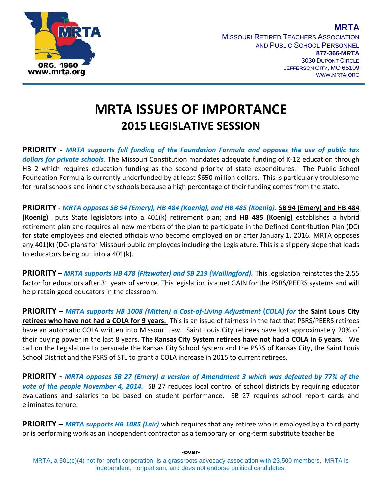

MISSOURI RETIRED TEACHERS ASSOCIATION AND PUBLIC SCHOOL PERSONNEL **877-366-MRTA** 3030 DUPONT CIRCLE JEFFERSON CITY, MO 65109 WWW.MRTA.ORG

**MRTA**

## **MRTA ISSUES OF IMPORTANCE 2015 LEGISLATIVE SESSION**

**PRIORITY -** *MRTA supports full funding of the Foundation Formula and opposes the use of public tax dollars for private schools*. The Missouri Constitution mandates adequate funding of K-12 education through HB 2 which requires education funding as the second priority of state expenditures. The Public School Foundation Formula is currently underfunded by at least \$650 million dollars. This is particularly troublesome for rural schools and inner city schools because a high percentage of their funding comes from the state.

**PRIORITY -** *MRTA opposes SB 94 (Emery), HB 484 (Koenig), and HB 485 (Koenig).* **SB 94 (Emery) and HB 484 (Koenig)** puts State legislators into a 401(k) retirement plan; and **HB 485 (Koenig)** establishes a hybrid retirement plan and requires all new members of the plan to participate in the Defined Contribution Plan (DC) for state employees and elected officials who become employed on or after January 1, 2016. MRTA opposes any 401(k) (DC) plans for Missouri public employees including the Legislature. This is a slippery slope that leads to educators being put into a 401(k).

**PRIORITY –** *MRTA supports HB 478 (Fitzwater) and SB 219 (Wallingford).* This legislation reinstates the 2.55 factor for educators after 31 years of service. This legislation is a net GAIN for the PSRS/PEERS systems and will help retain good educators in the classroom.

**PRIORITY –** *MRTA supports HB 1008 (Mitten) a Cost-of-Living Adjustment* **(***COLA) for* the **Saint Louis City retirees who have not had a COLA for 9 years.** This is an issue of fairness in the fact that PSRS/PEERS retirees have an automatic COLA written into Missouri Law. Saint Louis City retirees have lost approximately 20% of their buying power in the last 8 years. **The Kansas City System retirees have not had a COLA in 6 years.** We call on the Legislature to persuade the Kansas City School System and the PSRS of Kansas City, the Saint Louis School District and the PSRS of STL to grant a COLA increase in 2015 to current retirees.

**PRIORITY -** *MRTA opposes SB 27 (Emery) a version of Amendment 3 which was defeated by 77% of the vote of the people November 4, 2014.* SB 27 reduces local control of school districts by requiring educator evaluations and salaries to be based on student performance. SB 27 requires school report cards and eliminates tenure.

**PRIORITY –** *MRTA supports HB 1085 (Lair)* which requires that any retiree who is employed by a third party or is performing work as an independent contractor as a temporary or long-term substitute teacher be

MRTA, a 501(c)(4) not-for-profit corporation, is a grassroots advocacy association with 23,500 members. MRTA is independent, nonpartisan, and does not endorse political candidates.